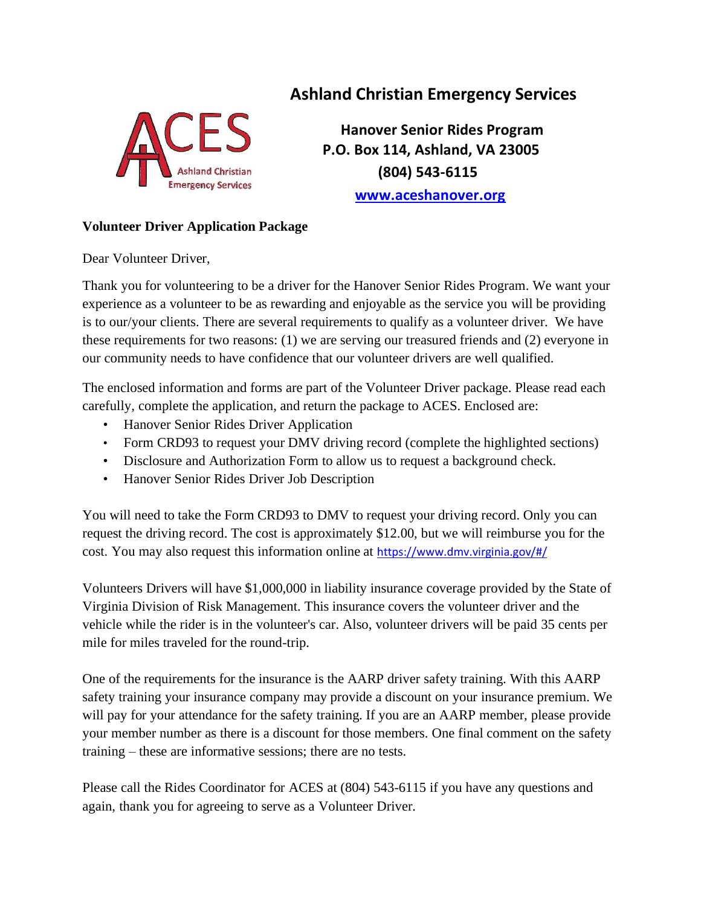

# **Ashland Christian Emergency Services**

 **Hanover Senior Rides Program P.O. Box 114, Ashland, VA 23005 (804) 543-6115 [www.a](http://www./)ceshanover.org**

## **Volunteer Driver Application Package**

Dear Volunteer Driver,

Thank you for volunteering to be a driver for the Hanover Senior Rides Program. We want your experience as a volunteer to be as rewarding and enjoyable as the service you will be providing is to our/your clients. There are several requirements to qualify as a volunteer driver. We have these requirements for two reasons: (1) we are serving our treasured friends and (2) everyone in our community needs to have confidence that our volunteer drivers are well qualified.

The enclosed information and forms are part of the Volunteer Driver package. Please read each carefully, complete the application, and return the package to ACES. Enclosed are:

- Hanover Senior Rides Driver Application
- Form CRD93 to request your DMV driving record (complete the highlighted sections)
- Disclosure and Authorization Form to allow us to request a background check.
- Hanover Senior Rides Driver Job Description

You will need to take the Form CRD93 to DMV to request your driving record. Only you can request the driving record. The cost is approximately \$12.00, but we will reimburse you for the cost. You may also request this information online at <https://www.dmv.virginia.gov/#/>

Volunteers Drivers will have \$1,000,000 in liability insurance coverage provided by the State of Virginia Division of Risk Management. This insurance covers the volunteer driver and the vehicle while the rider is in the volunteer's car. Also, volunteer drivers will be paid 35 cents per mile for miles traveled for the round-trip.

One of the requirements for the insurance is the AARP driver safety training. With this AARP safety training your insurance company may provide a discount on your insurance premium. We will pay for your attendance for the safety training. If you are an AARP member, please provide your member number as there is a discount for those members. One final comment on the safety training – these are informative sessions; there are no tests.

Please call the Rides Coordinator for ACES at (804) 543-6115 if you have any questions and again, thank you for agreeing to serve as a Volunteer Driver.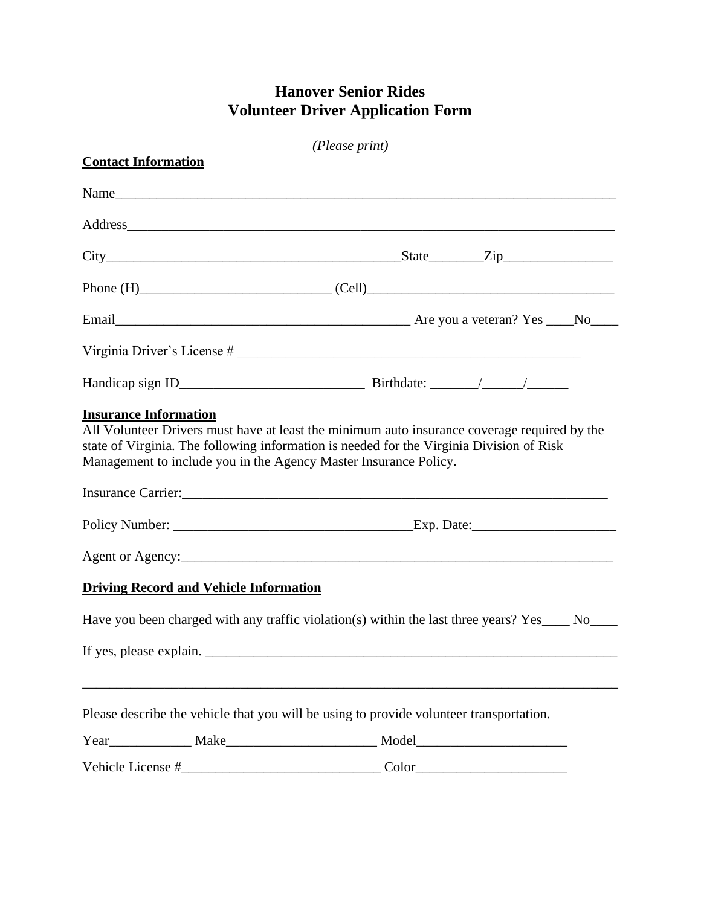## **Hanover Senior Rides Volunteer Driver Application Form**

| (Please print)             |                                               |                                                                                                                                                                                                                                                              |  |  |  |  |
|----------------------------|-----------------------------------------------|--------------------------------------------------------------------------------------------------------------------------------------------------------------------------------------------------------------------------------------------------------------|--|--|--|--|
| <b>Contact Information</b> |                                               |                                                                                                                                                                                                                                                              |  |  |  |  |
|                            |                                               |                                                                                                                                                                                                                                                              |  |  |  |  |
|                            |                                               |                                                                                                                                                                                                                                                              |  |  |  |  |
|                            |                                               |                                                                                                                                                                                                                                                              |  |  |  |  |
|                            |                                               | Phone $(H)$ (Cell)                                                                                                                                                                                                                                           |  |  |  |  |
|                            |                                               |                                                                                                                                                                                                                                                              |  |  |  |  |
|                            |                                               |                                                                                                                                                                                                                                                              |  |  |  |  |
|                            |                                               |                                                                                                                                                                                                                                                              |  |  |  |  |
|                            |                                               | All Volunteer Drivers must have at least the minimum auto insurance coverage required by the<br>state of Virginia. The following information is needed for the Virginia Division of Risk<br>Management to include you in the Agency Master Insurance Policy. |  |  |  |  |
|                            |                                               |                                                                                                                                                                                                                                                              |  |  |  |  |
|                            |                                               |                                                                                                                                                                                                                                                              |  |  |  |  |
|                            | <b>Driving Record and Vehicle Information</b> |                                                                                                                                                                                                                                                              |  |  |  |  |
|                            |                                               | Have you been charged with any traffic violation(s) within the last three years? Yes____ No____                                                                                                                                                              |  |  |  |  |
| If yes, please explain. _  |                                               |                                                                                                                                                                                                                                                              |  |  |  |  |
|                            |                                               | Please describe the vehicle that you will be using to provide volunteer transportation.                                                                                                                                                                      |  |  |  |  |
|                            |                                               | Year Make Model Model Model Model Model Model Model Model Model Model Model Model Model Model Model Model Model Model Model Model Model Model Model Model Model Model Model Model Model Model Model Model Model Model Model Mo                               |  |  |  |  |
|                            |                                               |                                                                                                                                                                                                                                                              |  |  |  |  |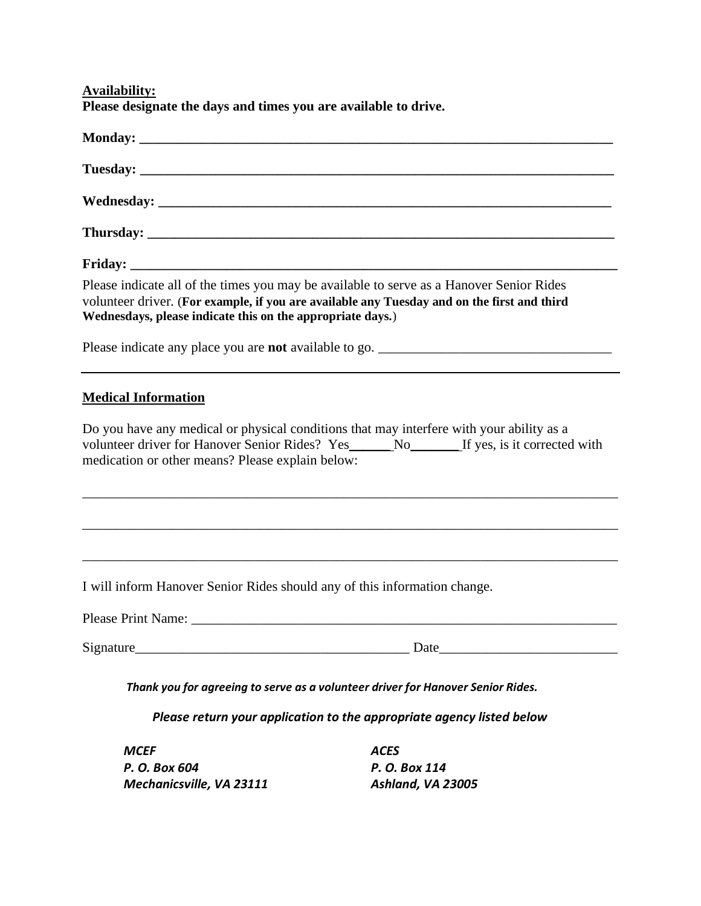**Availability: Please designate the days and times you are available to drive.**

|                                                  | Please indicate all of the times you may be available to serve as a Hanover Senior Rides<br>volunteer driver. (For example, if you are available any Tuesday and on the first and third<br>Wednesdays, please indicate this on the appropriate days.) |  |  |  |
|--------------------------------------------------|-------------------------------------------------------------------------------------------------------------------------------------------------------------------------------------------------------------------------------------------------------|--|--|--|
|                                                  |                                                                                                                                                                                                                                                       |  |  |  |
| <b>Medical Information</b>                       |                                                                                                                                                                                                                                                       |  |  |  |
| medication or other means? Please explain below: | Do you have any medical or physical conditions that may interfere with your ability as a<br>volunteer driver for Hanover Senior Rides? Yes______No________If yes, is it corrected with                                                                |  |  |  |
|                                                  |                                                                                                                                                                                                                                                       |  |  |  |
|                                                  | ,我们也不会有什么。""我们的人,我们也不会有什么?""我们的人,我们也不会有什么?""我们的人,我们也不会有什么?""我们的人,我们也不会有什么?""我们的人                                                                                                                                                                      |  |  |  |
|                                                  | I will inform Hanover Senior Rides should any of this information change.                                                                                                                                                                             |  |  |  |
|                                                  |                                                                                                                                                                                                                                                       |  |  |  |
|                                                  |                                                                                                                                                                                                                                                       |  |  |  |
|                                                  | Thank you for agreeing to serve as a volunteer driver for Hanover Senior Rides.                                                                                                                                                                       |  |  |  |
|                                                  | Please return your application to the appropriate agency listed below                                                                                                                                                                                 |  |  |  |
| <b>MCEF</b>                                      | <b>ACES</b>                                                                                                                                                                                                                                           |  |  |  |

*P. O. Box 604 Mechanicsville, VA 23111*

*P. O. Box 114 Ashland, VA 23005*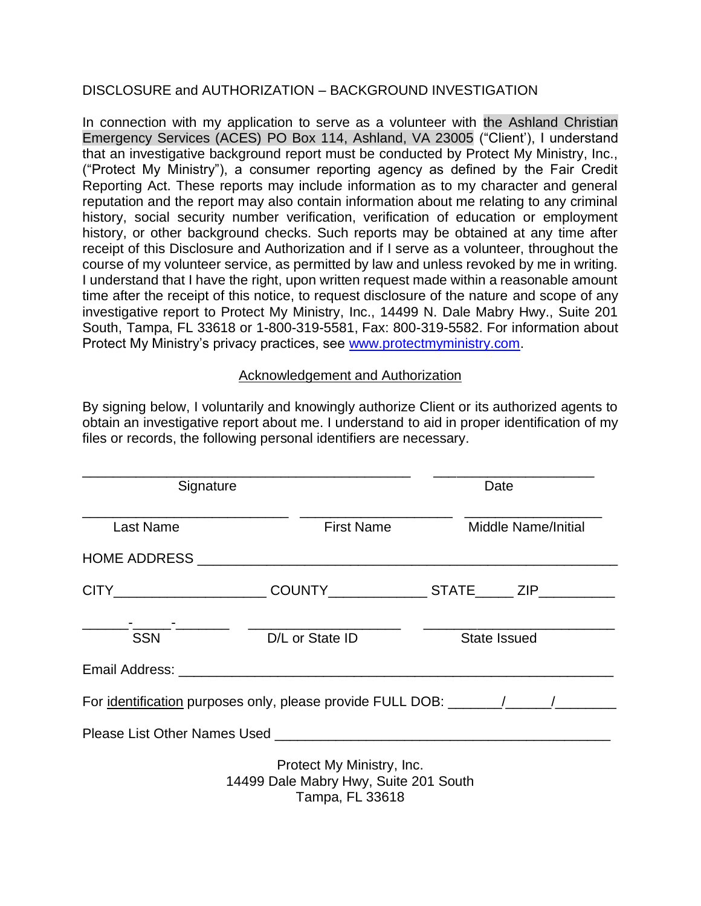#### DISCLOSURE and AUTHORIZATION – BACKGROUND INVESTIGATION

In connection with my application to serve as a volunteer with the Ashland Christian Emergency Services (ACES) PO Box 114, Ashland, VA 23005 ("Client'), I understand that an investigative background report must be conducted by Protect My Ministry, Inc., ("Protect My Ministry"), a consumer reporting agency as defined by the Fair Credit Reporting Act. These reports may include information as to my character and general reputation and the report may also contain information about me relating to any criminal history, social security number verification, verification of education or employment history, or other background checks. Such reports may be obtained at any time after receipt of this Disclosure and Authorization and if I serve as a volunteer, throughout the course of my volunteer service, as permitted by law and unless revoked by me in writing. I understand that I have the right, upon written request made within a reasonable amount time after the receipt of this notice, to request disclosure of the nature and scope of any investigative report to Protect My Ministry, Inc., 14499 N. Dale Mabry Hwy., Suite 201 South, Tampa, FL 33618 or 1-800-319-5581, Fax: 800-319-5582. For information about Protect My Ministry's privacy practices, see [www.protectmyministry.com.](http://www.priorityresearch.com/)

#### Acknowledgement and Authorization

By signing below, I voluntarily and knowingly authorize Client or its authorized agents to obtain an investigative report about me. I understand to aid in proper identification of my files or records, the following personal identifiers are necessary.

| Signature                                                 | Date                                                                                  |                                                                                                                                                                                                                                |
|-----------------------------------------------------------|---------------------------------------------------------------------------------------|--------------------------------------------------------------------------------------------------------------------------------------------------------------------------------------------------------------------------------|
| <b>Last Name</b>                                          | <b>First Name</b>                                                                     | <b>Middle Name/Initial</b>                                                                                                                                                                                                     |
|                                                           |                                                                                       |                                                                                                                                                                                                                                |
|                                                           |                                                                                       | CITY________________________COUNTY_________________STATE_______ ZIP_____________                                                                                                                                               |
| _ <del>_</del> ____________________________<br><b>SSN</b> | D/L or State ID                                                                       | State Issued                                                                                                                                                                                                                   |
|                                                           |                                                                                       |                                                                                                                                                                                                                                |
|                                                           |                                                                                       | For identification purposes only, please provide FULL DOB: ______/_____/_________                                                                                                                                              |
|                                                           |                                                                                       | Please List Other Names Used and the control of the control of the control of the control of the control of the control of the control of the control of the control of the control of the control of the control of the contr |
|                                                           | Protect My Ministry, Inc.<br>14499 Dale Mabry Hwy, Suite 201 South<br>Tampa, FL 33618 |                                                                                                                                                                                                                                |